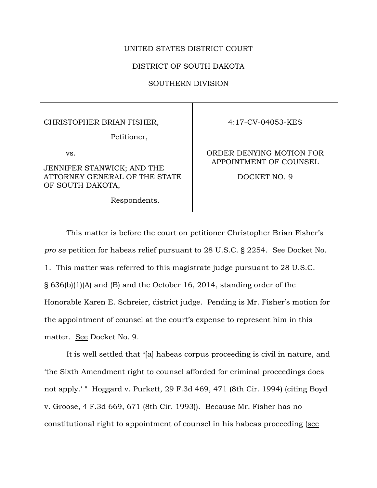## UNITED STATES DISTRICT COURT

## DISTRICT OF SOUTH DAKOTA

SOUTHERN DIVISION

#### CHRISTOPHER BRIAN FISHER,

Petitioner,

vs.

JENNIFER STANWICK; AND THE ATTORNEY GENERAL OF THE STATE OF SOUTH DAKOTA,

Respondents.

4:17-CV-04053-KES

# ORDER DENYING MOTION FOR APPOINTMENT OF COUNSEL

DOCKET NO. 9

This matter is before the court on petitioner Christopher Brian Fisher's *pro se* petition for habeas relief pursuant to 28 U.S.C. § 2254. See Docket No. 1. This matter was referred to this magistrate judge pursuant to 28 U.S.C. § 636(b)(1)(A) and (B) and the October 16, 2014, standing order of the Honorable Karen E. Schreier, district judge. Pending is Mr. Fisher's motion for the appointment of counsel at the court's expense to represent him in this matter. See Docket No. 9.

It is well settled that "[a] habeas corpus proceeding is civil in nature, and >the Sixth Amendment right to counsel afforded for criminal proceedings does not apply.' " Hoggard v. Purkett, 29 F.3d 469, 471 (8th Cir. 1994) (citing Boyd v. Groose, 4 F.3d 669, 671 (8th Cir. 1993)). Because Mr. Fisher has no constitutional right to appointment of counsel in his habeas proceeding (see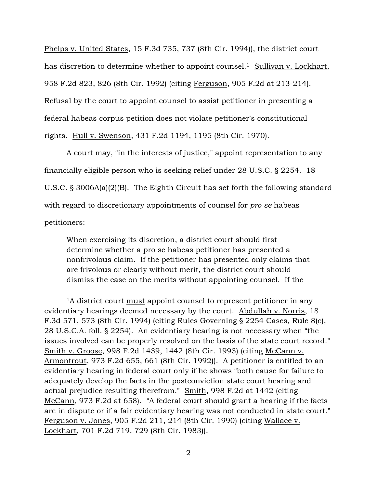Phelps v. United States, 15 F.3d 735, 737 (8th Cir. 1994)), the district court has discretion to determine whether to appoint counsel.<sup>1</sup> Sullivan v. Lockhart, 958 F.2d 823, 826 (8th Cir. 1992) (citing Ferguson, 905 F.2d at 213-214). Refusal by the court to appoint counsel to assist petitioner in presenting a federal habeas corpus petition does not violate petitioner's constitutional rights. Hull v. Swenson, 431 F.2d 1194, 1195 (8th Cir. 1970).

A court may, "in the interests of justice," appoint representation to any financially eligible person who is seeking relief under 28 U.S.C. § 2254. 18 U.S.C.  $\S$  3006A(a)(2)(B). The Eighth Circuit has set forth the following standard with regard to discretionary appointments of counsel for *pro se* habeas petitioners:

When exercising its discretion, a district court should first determine whether a pro se habeas petitioner has presented a nonfrivolous claim. If the petitioner has presented only claims that are frivolous or clearly without merit, the district court should dismiss the case on the merits without appointing counsel. If the

 $\overline{a}$ 

<sup>&</sup>lt;sup>1</sup>A district court <u>must</u> appoint counsel to represent petitioner in any evidentiary hearings deemed necessary by the court. Abdullah v. Norris, 18 F.3d 571, 573 (8th Cir. 1994) (citing Rules Governing § 2254 Cases, Rule 8(c), 28 U.S.C.A. foll.  $\S$  2254). An evidentiary hearing is not necessary when "the issues involved can be properly resolved on the basis of the state court record." Smith v. Groose, 998 F.2d 1439, 1442 (8th Cir. 1993) (citing McCann v. Armontrout, 973 F.2d 655, 661 (8th Cir. 1992)). A petitioner is entitled to an evidentiary hearing in federal court only if he shows "both cause for failure to adequately develop the facts in the postconviction state court hearing and actual prejudice resulting therefrom." Smith, 998 F.2d at 1442 (citing McCann, 973 F.2d at 658). "A federal court should grant a hearing if the facts are in dispute or if a fair evidentiary hearing was not conducted in state court." Ferguson v. Jones, 905 F.2d 211, 214 (8th Cir. 1990) (citing Wallace v. Lockhart, 701 F.2d 719, 729 (8th Cir. 1983)).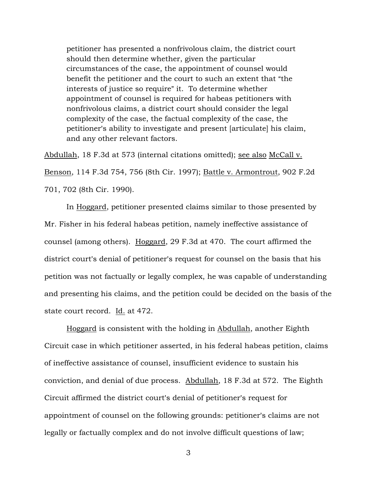petitioner has presented a nonfrivolous claim, the district court should then determine whether, given the particular circumstances of the case, the appointment of counsel would benefit the petitioner and the court to such an extent that "the interests of justice so require" it. To determine whether appointment of counsel is required for habeas petitioners with nonfrivolous claims, a district court should consider the legal complexity of the case, the factual complexity of the case, the petitioner's ability to investigate and present [articulate] his claim, and any other relevant factors.

Abdullah, 18 F.3d at 573 (internal citations omitted); see also McCall v. Benson, 114 F.3d 754, 756 (8th Cir. 1997); Battle v. Armontrout, 902 F.2d 701, 702 (8th Cir. 1990).

In Hoggard, petitioner presented claims similar to those presented by Mr. Fisher in his federal habeas petition, namely ineffective assistance of counsel (among others). Hoggard, 29 F.3d at 470. The court affirmed the district court's denial of petitioner's request for counsel on the basis that his petition was not factually or legally complex, he was capable of understanding and presenting his claims, and the petition could be decided on the basis of the state court record. Id. at 472.

Hoggard is consistent with the holding in Abdullah, another Eighth Circuit case in which petitioner asserted, in his federal habeas petition, claims of ineffective assistance of counsel, insufficient evidence to sustain his conviction, and denial of due process. Abdullah, 18 F.3d at 572. The Eighth Circuit affirmed the district court's denial of petitioner's request for appointment of counsel on the following grounds: petitioner's claims are not legally or factually complex and do not involve difficult questions of law;

3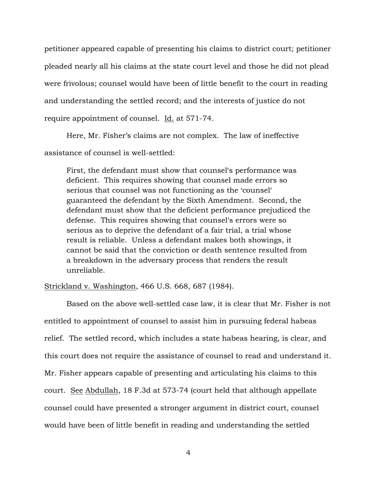petitioner appeared capable of presenting his claims to district court; petitioner pleaded nearly all his claims at the state court level and those he did not plead were frivolous; counsel would have been of little benefit to the court in reading and understanding the settled record; and the interests of justice do not require appointment of counsel. Id. at 571-74.

Here, Mr. Fisher's claims are not complex. The law of ineffective assistance of counsel is well-settled:

First, the defendant must show that counsel's performance was deficient. This requires showing that counsel made errors so serious that counsel was not functioning as the 'counsel' guaranteed the defendant by the Sixth Amendment. Second, the defendant must show that the deficient performance prejudiced the defense. This requires showing that counsel's errors were so serious as to deprive the defendant of a fair trial, a trial whose result is reliable. Unless a defendant makes both showings, it cannot be said that the conviction or death sentence resulted from a breakdown in the adversary process that renders the result unreliable.

## Strickland v. Washington, 466 U.S. 668, 687 (1984).

Based on the above well-settled case law, it is clear that Mr. Fisher is not entitled to appointment of counsel to assist him in pursuing federal habeas relief. The settled record, which includes a state habeas hearing, is clear, and this court does not require the assistance of counsel to read and understand it. Mr. Fisher appears capable of presenting and articulating his claims to this court. See Abdullah, 18 F.3d at 573-74 (court held that although appellate counsel could have presented a stronger argument in district court, counsel would have been of little benefit in reading and understanding the settled